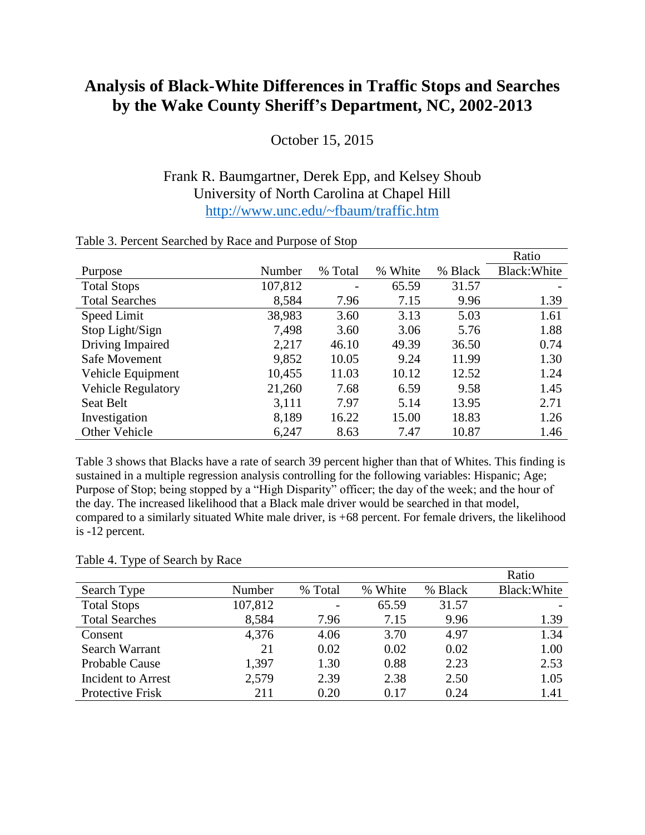## **Analysis of Black-White Differences in Traffic Stops and Searches by the Wake County Sheriff's Department, NC, 2002-2013**

October 15, 2015

## Frank R. Baumgartner, Derek Epp, and Kelsey Shoub University of North Carolina at Chapel Hill <http://www.unc.edu/~fbaum/traffic.htm>

|                           |         |                          |            |         | Ratio        |
|---------------------------|---------|--------------------------|------------|---------|--------------|
| Purpose                   | Number  | % Total                  | White<br>% | % Black | Black: White |
| <b>Total Stops</b>        | 107,812 | $\overline{\phantom{a}}$ | 65.59      | 31.57   |              |
| <b>Total Searches</b>     | 8,584   | 7.96                     | 7.15       | 9.96    | 1.39         |
| Speed Limit               | 38,983  | 3.60                     | 3.13       | 5.03    | 1.61         |
| Stop Light/Sign           | 7,498   | 3.60                     | 3.06       | 5.76    | 1.88         |
| Driving Impaired          | 2,217   | 46.10                    | 49.39      | 36.50   | 0.74         |
| Safe Movement             | 9,852   | 10.05                    | 9.24       | 11.99   | 1.30         |
| Vehicle Equipment         | 10,455  | 11.03                    | 10.12      | 12.52   | 1.24         |
| <b>Vehicle Regulatory</b> | 21,260  | 7.68                     | 6.59       | 9.58    | 1.45         |
| Seat Belt                 | 3,111   | 7.97                     | 5.14       | 13.95   | 2.71         |
| Investigation             | 8,189   | 16.22                    | 15.00      | 18.83   | 1.26         |
| Other Vehicle             | 6,247   | 8.63                     | 7.47       | 10.87   | 1.46         |

## Table 3. Percent Searched by Race and Purpose of Stop

Table 3 shows that Blacks have a rate of search 39 percent higher than that of Whites. This finding is sustained in a multiple regression analysis controlling for the following variables: Hispanic; Age; Purpose of Stop; being stopped by a "High Disparity" officer; the day of the week; and the hour of the day. The increased likelihood that a Black male driver would be searched in that model, compared to a similarly situated White male driver, is +68 percent. For female drivers, the likelihood is -12 percent.

## Table 4. Type of Search by Race

|                           |         |         |         |         | Ratio        |
|---------------------------|---------|---------|---------|---------|--------------|
| Search Type               | Number  | % Total | % White | % Black | Black: White |
| <b>Total Stops</b>        | 107,812 |         | 65.59   | 31.57   |              |
| <b>Total Searches</b>     | 8,584   | 7.96    | 7.15    | 9.96    | 1.39         |
| Consent                   | 4,376   | 4.06    | 3.70    | 4.97    | 1.34         |
| Search Warrant            | 21      | 0.02    | 0.02    | 0.02    | 1.00         |
| <b>Probable Cause</b>     | 1,397   | 1.30    | 0.88    | 2.23    | 2.53         |
| <b>Incident to Arrest</b> | 2,579   | 2.39    | 2.38    | 2.50    | 1.05         |
| Protective Frisk          | 211     | 0.20    | 0.17    | 0.24    | 1.41         |